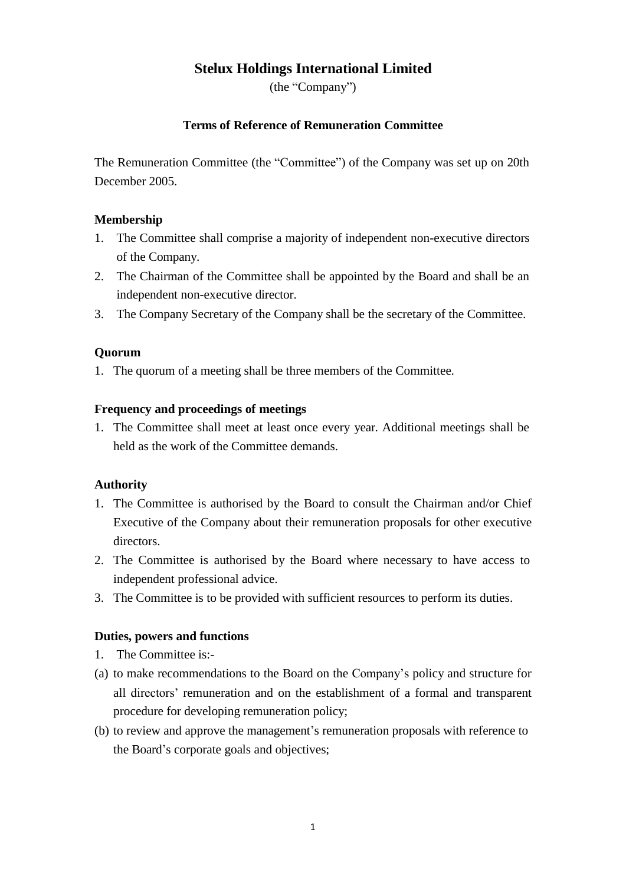# **Stelux Holdings International Limited**

(the "Company")

# **Terms of Reference of Remuneration Committee**

The Remuneration Committee (the "Committee") of the Company was set up on 20th December 2005.

### **Membership**

- 1. The Committee shall comprise a majority of independent non-executive directors of the Company.
- 2. The Chairman of the Committee shall be appointed by the Board and shall be an independent non-executive director.
- 3. The Company Secretary of the Company shall be the secretary of the Committee.

#### **Quorum**

1. The quorum of a meeting shall be three members of the Committee.

#### **Frequency and proceedings of meetings**

1. The Committee shall meet at least once every year. Additional meetings shall be held as the work of the Committee demands.

# **Authority**

- 1. The Committee is authorised by the Board to consult the Chairman and/or Chief Executive of the Company about their remuneration proposals for other executive directors.
- 2. The Committee is authorised by the Board where necessary to have access to independent professional advice.
- 3. The Committee is to be provided with sufficient resources to perform its duties.

# **Duties, powers and functions**

- 1. The Committee is:-
- (a) to make recommendations to the Board on the Company's policy and structure for all directors' remuneration and on the establishment of a formal and transparent procedure for developing remuneration policy;
- (b) to review and approve the management's remuneration proposals with reference to the Board's corporate goals and objectives;